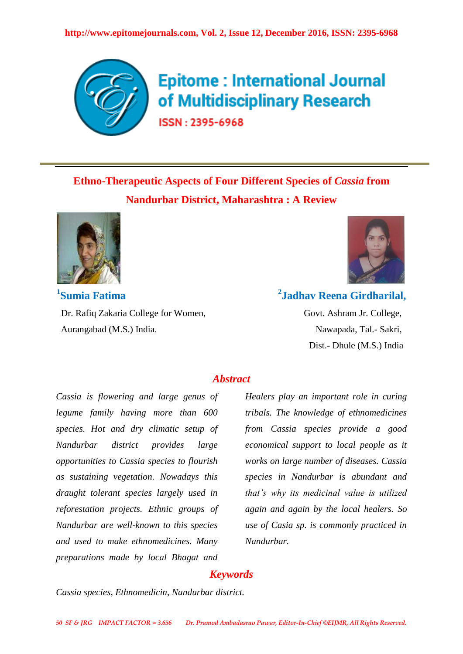

# **Epitome: International Journal** of Multidisciplinary Research

ISSN: 2395-6968

## **Ethno-Therapeutic Aspects of Four Different Species of** *Cassia* **from Nandurbar District, Maharashtra : A Review**



**1 Sumia Fatima**  Dr. Rafiq Zakaria College for Women, Govt. Ashram Jr. College, Aurangabad (M.S.) India. Nawapada, Tal.- Sakri,



### **2 Jadhav Reena Girdharilal,**

Dist.- Dhule (M.S.) India

#### *Abstract*

*Cassia is flowering and large genus of legume family having more than 600 species. Hot and dry climatic setup of Nandurbar district provides large opportunities to Cassia species to flourish as sustaining vegetation. Nowadays this draught tolerant species largely used in reforestation projects. Ethnic groups of Nandurbar are well-known to this species and used to make ethnomedicines. Many preparations made by local Bhagat and* 

*Healers play an important role in curing tribals. The knowledge of ethnomedicines from Cassia species provide a good economical support to local people as it works on large number of diseases. Cassia species in Nandurbar is abundant and that's why its medicinal value is utilized again and again by the local healers. So use of Casia sp. is commonly practiced in Nandurbar.*

#### *Keywords*

*Cassia species, Ethnomedicin, Nandurbar district.*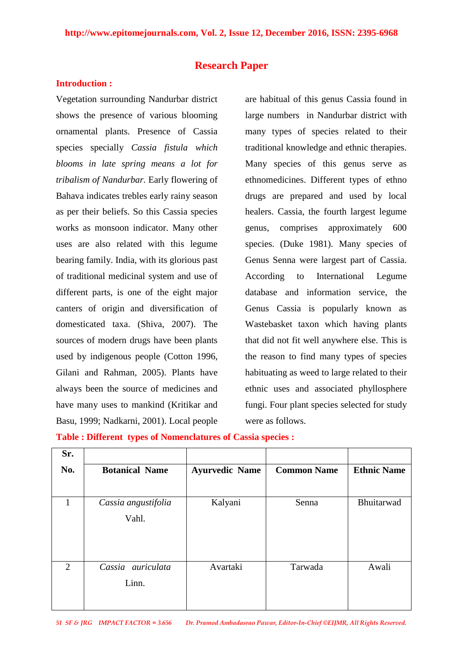#### **Research Paper**

#### **Introduction :**

Vegetation surrounding Nandurbar district shows the presence of various blooming ornamental plants. Presence of Cassia species specially *Cassia fistula which blooms in late spring means a lot for tribalism of Nandurbar.* Early flowering of Bahava indicates trebles early rainy season as per their beliefs. So this Cassia species works as monsoon indicator. Many other uses are also related with this legume bearing family. India, with its glorious past of traditional medicinal system and use of different parts, is one of the eight major canters of origin and diversification of domesticated taxa. (Shiva, 2007). The sources of modern drugs have been plants used by indigenous people (Cotton 1996, Gilani and Rahman, 2005). Plants have always been the source of medicines and have many uses to mankind (Kritikar and Basu, 1999; Nadkarni, 2001). Local people are habitual of this genus Cassia found in large numbers in Nandurbar district with many types of species related to their traditional knowledge and ethnic therapies. Many species of this genus serve as ethnomedicines. Different types of ethno drugs are prepared and used by local healers. Cassia, the fourth largest legume genus, comprises approximately 600 species. (Duke 1981). Many species of Genus Senna were largest part of Cassia. According to International Legume database and information service, the Genus Cassia is popularly known as Wastebasket taxon which having plants that did not fit well anywhere else. This is the reason to find many types of species habituating as weed to large related to their ethnic uses and associated phyllosphere fungi. Four plant species selected for study were as follows.

| Sr.            |                       |                       |                    |                    |
|----------------|-----------------------|-----------------------|--------------------|--------------------|
| No.            | <b>Botanical Name</b> | <b>Ayurvedic Name</b> | <b>Common Name</b> | <b>Ethnic Name</b> |
|                |                       |                       |                    |                    |
| 1              | Cassia angustifolia   | Kalyani               | Senna              | Bhuitarwad         |
|                | Vahl.                 |                       |                    |                    |
|                |                       |                       |                    |                    |
|                |                       |                       |                    |                    |
|                |                       |                       |                    |                    |
| $\overline{2}$ | Cassia auriculata     | Avartaki              | Tarwada            | Awali              |
|                | Linn.                 |                       |                    |                    |
|                |                       |                       |                    |                    |
|                |                       |                       |                    |                    |

**Table : Different types of Nomenclatures of Cassia species :**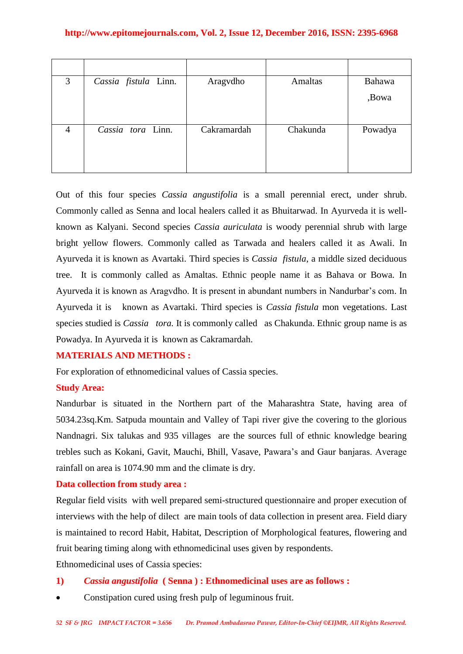| 3              | Cassia fistula Linn. | Aragydho    | Amaltas  | Bahawa  |
|----------------|----------------------|-------------|----------|---------|
|                |                      |             |          | ,Bowa   |
|                |                      |             |          |         |
| $\overline{4}$ | Cassia tora Linn.    | Cakramardah | Chakunda | Powadya |
|                |                      |             |          |         |
|                |                      |             |          |         |

Out of this four species *Cassia angustifolia* is a small perennial erect, under shrub. Commonly called as Senna and local healers called it as Bhuitarwad. In Ayurveda it is wellknown as Kalyani. Second species *Cassia auriculata* is woody perennial shrub with large bright yellow flowers. Commonly called as Tarwada and healers called it as Awali. In Ayurveda it is known as Avartaki. Third species is *Cassia fistula*, a middle sized deciduous tree. It is commonly called as Amaltas. Ethnic people name it as Bahava or Bowa. In Ayurveda it is known as Aragvdho. It is present in abundant numbers in Nandurbar's com. In Ayurveda it is known as Avartaki. Third species is *Cassia fistula* mon vegetations. Last species studied is *Cassia tora.* It is commonly called as Chakunda. Ethnic group name is as Powadya. In Ayurveda it is known as Cakramardah.

#### **MATERIALS AND METHODS :**

For exploration of ethnomedicinal values of Cassia species.

#### **Study Area:**

Nandurbar is situated in the Northern part of the Maharashtra State, having area of 5034.23sq.Km. Satpuda mountain and Valley of Tapi river give the covering to the glorious Nandnagri. Six talukas and 935 villages are the sources full of ethnic knowledge bearing trebles such as Kokani, Gavit, Mauchi, Bhill, Vasave, Pawara's and Gaur banjaras. Average rainfall on area is 1074.90 mm and the climate is dry.

#### **Data collection from study area :**

Regular field visits with well prepared semi-structured questionnaire and proper execution of interviews with the help of dilect are main tools of data collection in present area. Field diary is maintained to record Habit, Habitat, Description of Morphological features, flowering and fruit bearing timing along with ethnomedicinal uses given by respondents.

Ethnomedicinal uses of Cassia species:

- **1)** *Cassia angustifolia* **( Senna ) : Ethnomedicinal uses are as follows :**
- Constipation cured using fresh pulp of leguminous fruit.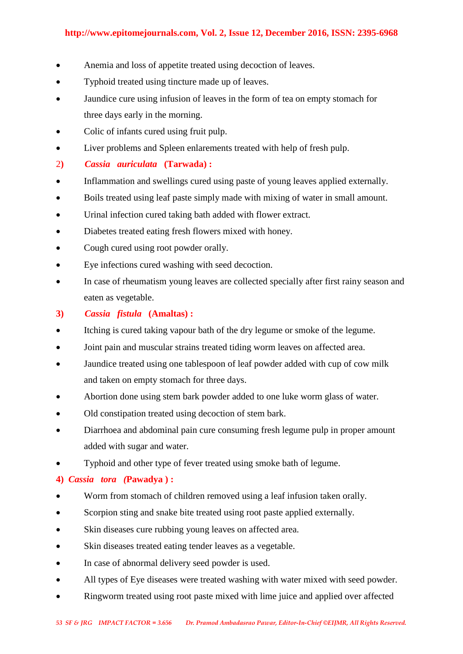- Anemia and loss of appetite treated using decoction of leaves.
- Typhoid treated using tincture made up of leaves.
- Jaundice cure using infusion of leaves in the form of tea on empty stomach for three days early in the morning.
- Colic of infants cured using fruit pulp.
- Liver problems and Spleen enlarements treated with help of fresh pulp.
- 2**)** *Cassia auriculata* **(Tarwada) :**
- Inflammation and swellings cured using paste of young leaves applied externally.
- Boils treated using leaf paste simply made with mixing of water in small amount.
- Urinal infection cured taking bath added with flower extract.
- Diabetes treated eating fresh flowers mixed with honey.
- Cough cured using root powder orally.
- Eye infections cured washing with seed decoction.
- In case of rheumatism young leaves are collected specially after first rainy season and eaten as vegetable.
- **3)** *Cassia fistula* **(Amaltas) :**
- Itching is cured taking vapour bath of the dry legume or smoke of the legume.
- Joint pain and muscular strains treated tiding worm leaves on affected area.
- Jaundice treated using one tablespoon of leaf powder added with cup of cow milk and taken on empty stomach for three days.
- Abortion done using stem bark powder added to one luke worm glass of water.
- Old constipation treated using decoction of stem bark.
- Diarrhoea and abdominal pain cure consuming fresh legume pulp in proper amount added with sugar and water.
- Typhoid and other type of fever treated using smoke bath of legume.

**4)** *Cassia tora (***Pawadya ) :**

- Worm from stomach of children removed using a leaf infusion taken orally.
- Scorpion sting and snake bite treated using root paste applied externally.
- Skin diseases cure rubbing young leaves on affected area.
- Skin diseases treated eating tender leaves as a vegetable.
- In case of abnormal delivery seed powder is used.
- All types of Eye diseases were treated washing with water mixed with seed powder.
- Ringworm treated using root paste mixed with lime juice and applied over affected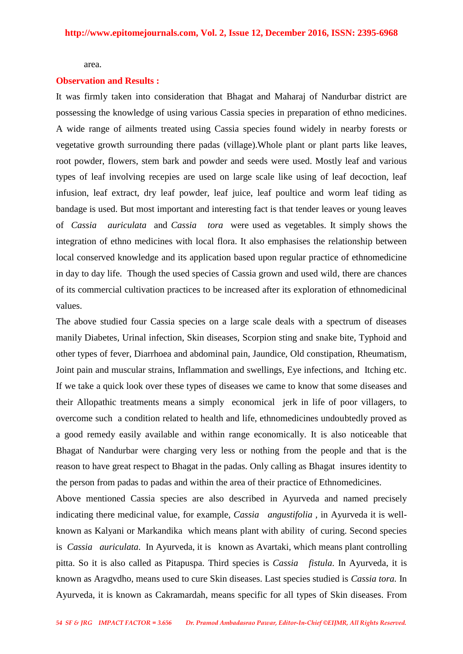#### area.

#### **Observation and Results :**

It was firmly taken into consideration that Bhagat and Maharaj of Nandurbar district are possessing the knowledge of using various Cassia species in preparation of ethno medicines. A wide range of ailments treated using Cassia species found widely in nearby forests or vegetative growth surrounding there padas (village).Whole plant or plant parts like leaves, root powder, flowers, stem bark and powder and seeds were used. Mostly leaf and various types of leaf involving recepies are used on large scale like using of leaf decoction, leaf infusion, leaf extract, dry leaf powder, leaf juice, leaf poultice and worm leaf tiding as bandage is used. But most important and interesting fact is that tender leaves or young leaves of *Cassia auriculata* and *Cassia tora* were used as vegetables. It simply shows the integration of ethno medicines with local flora. It also emphasises the relationship between local conserved knowledge and its application based upon regular practice of ethnomedicine in day to day life. Though the used species of Cassia grown and used wild, there are chances of its commercial cultivation practices to be increased after its exploration of ethnomedicinal values.

The above studied four Cassia species on a large scale deals with a spectrum of diseases manily Diabetes, Urinal infection, Skin diseases, Scorpion sting and snake bite, Typhoid and other types of fever, Diarrhoea and abdominal pain, Jaundice, Old constipation, Rheumatism, Joint pain and muscular strains, Inflammation and swellings, Eye infections, and Itching etc. If we take a quick look over these types of diseases we came to know that some diseases and their Allopathic treatments means a simply economical jerk in life of poor villagers, to overcome such a condition related to health and life, ethnomedicines undoubtedly proved as a good remedy easily available and within range economically. It is also noticeable that Bhagat of Nandurbar were charging very less or nothing from the people and that is the reason to have great respect to Bhagat in the padas. Only calling as Bhagat insures identity to the person from padas to padas and within the area of their practice of Ethnomedicines.

Above mentioned Cassia species are also described in Ayurveda and named precisely indicating there medicinal value, for example, *Cassia angustifolia ,* in Ayurveda it is wellknown as Kalyani or Markandika which means plant with ability of curing. Second species is *Cassia auriculata.* In Ayurveda, it is known as Avartaki, which means plant controlling pitta. So it is also called as Pitapuspa. Third species is *Cassia fistula.* In Ayurveda, it is known as Aragvdho, means used to cure Skin diseases. Last species studied is *Cassia tora.* In Ayurveda, it is known as Cakramardah, means specific for all types of Skin diseases. From